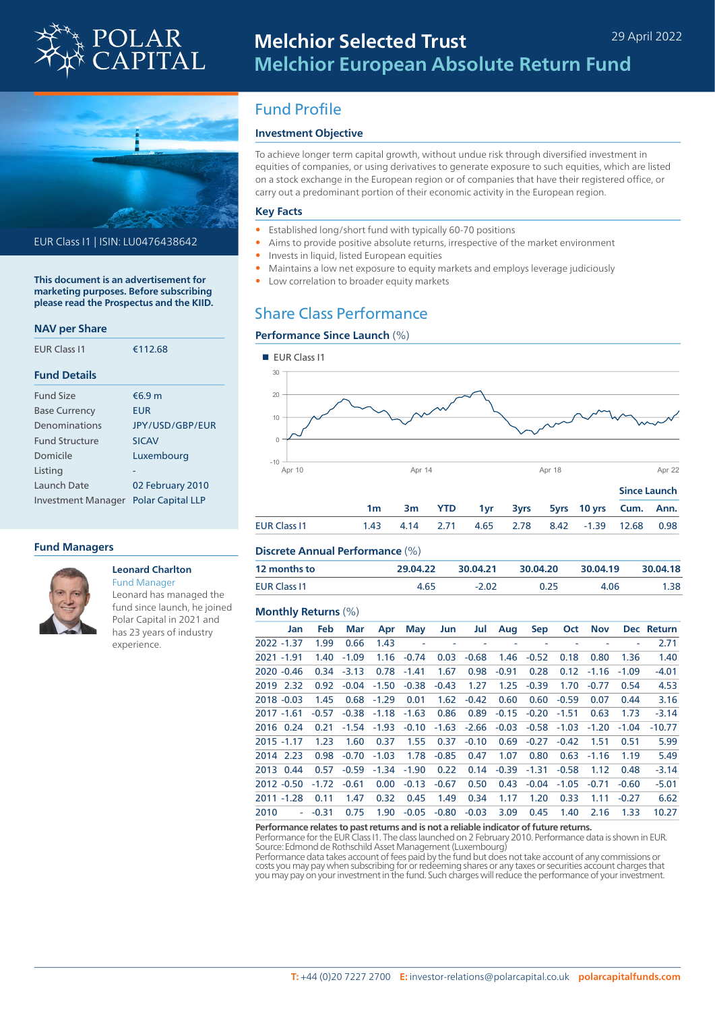



EUR Class I1 | ISIN: LU0476438642

**This document is an advertisement for marketing purposes. Before subscribing please read the Prospectus and the KIID.**

### **NAV per Share**

| <b>FUR Class 11</b>       | €112.68                  |  |  |  |  |
|---------------------------|--------------------------|--|--|--|--|
| <b>Fund Details</b>       |                          |  |  |  |  |
| <b>Fund Size</b>          | €6.9m                    |  |  |  |  |
| <b>Base Currency</b>      | <b>FUR</b>               |  |  |  |  |
| Denominations             | JPY/USD/GBP/EUR          |  |  |  |  |
| <b>Fund Structure</b>     | <b>SICAV</b>             |  |  |  |  |
| Domicile                  | Luxembourg               |  |  |  |  |
| Listing                   |                          |  |  |  |  |
| Launch Date               | 02 February 2010         |  |  |  |  |
| <b>Investment Manager</b> | <b>Polar Capital LLP</b> |  |  |  |  |

### **Fund Managers**



### **Leonard Charlton**

Fund Manager Leonard has managed the fund since launch, he joined Polar Capital in 2021 and has 23 years of industry experience.

# Fund Profile

### **Investment Objective**

To achieve longer term capital growth, without undue risk through diversified investment in equities of companies, or using derivatives to generate exposure to such equities, which are listed on a stock exchange in the European region or of companies that have their registered office, or carry out a predominant portion of their economic activity in the European region.

#### **Key Facts**

- Established long/short fund with typically 60-70 positions
- Aims to provide positive absolute returns, irrespective of the market environment
- Invests in liquid, listed European equities
- Maintains a low net exposure to equity markets and employs leverage judiciously
- Low correlation to broader equity markets

# Share Class Performance

## **Performance Since Launch** (%)



### **Discrete Annual Performance** (%)

| 12 months to | 29 04 22 | 30.04.21 | 30.04.20 | 30.04.19 | 30.04.18 |
|--------------|----------|----------|----------|----------|----------|
| FUR Class 11 | 4 65     | $-202$   | 0.25     | 4.06     |          |

### **Monthly Returns** (%)

|            | Jan           | <b>Feb</b> | Mar     | Apr           | May           | Jun     | Jul     | Aug     | Sep     | <b>Oct</b> | <b>Nov</b>   |         | Dec Return |
|------------|---------------|------------|---------|---------------|---------------|---------|---------|---------|---------|------------|--------------|---------|------------|
|            | 2022 -1.37    | 1.99       | 0.66    | 1.43          |               |         |         |         |         |            |              | ۰       | 2.71       |
| 2021 -1.91 |               | 1.40       | $-1.09$ |               | $1.16 - 0.74$ | 0.03    | $-0.68$ | 1.46    | $-0.52$ | 0.18       | 0.80         | 1.36    | 1.40       |
|            | 2020 -0.46    | 0.34       | $-3.13$ | 0.78          | $-1.41$       | 1.67    | 0.98    | $-0.91$ | 0.28    |            | $0.12 -1.16$ | $-1.09$ | $-4.01$    |
| 2019       | 2.32          | 0.92       | $-0.04$ | $-1.50$       | $-0.38$       | $-0.43$ | 1.27    | 1.25    | $-0.39$ | 1.70       | $-0.77$      | 0.54    | 4.53       |
|            | $2018 - 0.03$ | 1.45       | 0.68    | $-1.29$       | 0.01          | 1.62    | $-0.42$ | 0.60    | 0.60    | $-0.59$    | 0.07         | 0.44    | 3.16       |
|            | $2017 - 1.61$ | $-0.57$    |         | $-0.38 -1.18$ | $-1.63$       | 0.86    | 0.89    | $-0.15$ | $-0.20$ | $-1.51$    | 0.63         | 1.73    | $-3.14$    |
|            | 2016 0.24     | 0.21       | $-1.54$ | $-1.93$       | $-0.10$       | $-1.63$ | $-2.66$ | $-0.03$ | $-0.58$ | $-1.03$    | $-1.20$      | $-1.04$ | $-10.77$   |
|            | $2015 - 1.17$ | 1.23       | 1.60    | 0.37          | 1.55          | 0.37    | $-0.10$ | 0.69    | $-0.27$ | $-0.42$    | 1.51         | 0.51    | 5.99       |
|            | 2014 2.23     | 0.98       | $-0.70$ | $-1.03$       | 1.78          | $-0.85$ | 0.47    | 1.07    | 0.80    | 0.63       | $-1.16$      | 1.19    | 5.49       |
|            | 2013 0.44     | 0.57       | $-0.59$ | $-1.34$       | $-1.90$       | 0.22    | 0.14    | $-0.39$ | -1.31   | $-0.58$    | 1.12         | 0.48    | $-3.14$    |
|            | $2012 - 0.50$ | $-1.72$    | $-0.61$ | 0.00          | $-0.13$       | $-0.67$ | 0.50    | 0.43    | $-0.04$ | $-1.05$    | $-0.71$      | $-0.60$ | $-5.01$    |
|            | 2011 -1.28    | 0.11       | 1.47    | 0.32          | 0.45          | 1.49    | 0.34    | 1.17    | 1.20    | 0.33       | 1.11         | $-0.27$ | 6.62       |
| 2010       | $\sim 100$    | $-0.31$    | 0.75    | 1.90          | $-0.05$       | $-0.80$ | $-0.03$ | 3.09    | 0.45    | 1.40       | 2.16         | 1.33    | 10.27      |

### **Performance relates to past returns and is not a reliable indicator of future returns.**

Performance for the EUR Class I1. The class launched on 2 February 2010. Performance data is shown in EUR. Source: Edmond de Rothschild Asset Management (Luxembourg)

Performance data takes account of fees paid by the fund but does not take account of any commissions or costs you may pay when subscribing for or redeeming shares or any taxes or securities account charges that you may pay on your investment in the fund. Such charges will reduce the performance of your investment.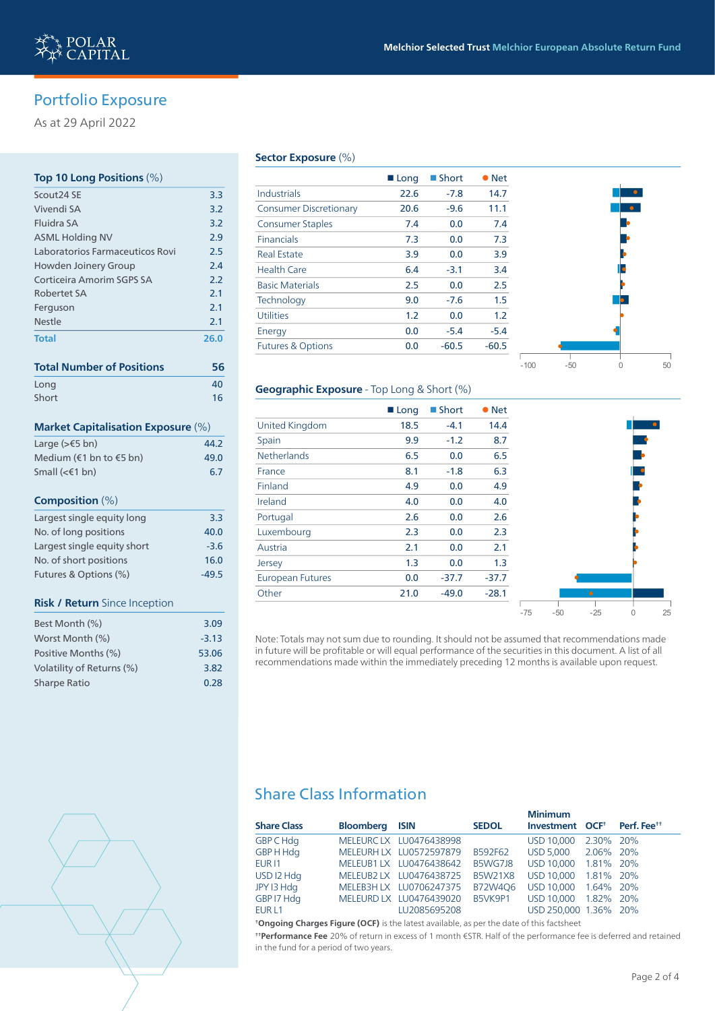# Portfolio Exposure

As at 29 April 2022

# **Top 10 Long Positions** (%)

| Scout24 SE                                | 3.3  |
|-------------------------------------------|------|
| Vivendi SA                                | 3.2  |
| Fluidra SA                                | 3.2  |
| <b>ASML Holding NV</b>                    | 2.9  |
| Laboratorios Farmaceuticos Rovi           | 2.5  |
| Howden Joinery Group                      | 2.4  |
| Corticeira Amorim SGPS SA                 | 2.2  |
| <b>Robertet SA</b>                        | 2.1  |
| Ferguson                                  | 2.1  |
| <b>Nestle</b>                             | 2.1  |
| <b>Total</b>                              | 26.0 |
|                                           |      |
| <b>Total Number of Positions</b>          | 56   |
| Long                                      | 40   |
| Short                                     | 16   |
| <b>Market Capitalisation Exposure (%)</b> |      |
| Large (>€5 bn)                            | 44.2 |
| Medium (€1 bn to €5 bn)                   | 49.0 |
| Small ( $≤∈1$ bn)                         | 6.7  |
| Composition $(\%)$                        |      |

# Largest single single single single single single single single single single single single single single single single single single single single single single single single single single single single single single sing No. of long positions 40.0 Largest single equity short -3.6 No. of short positions 16.0 Futures & Options (%) 49.5 **Risk / Return** Since Inception

| Best Month (%)            | 3.09    |
|---------------------------|---------|
| Worst Month (%)           | $-3.13$ |
| Positive Months (%)       | 53.06   |
| Volatility of Returns (%) | 3.82    |
| Sharpe Ratio              | 0.28    |
|                           |         |

### **Sector Exposure** (%)

|                               | ■ Long | ■ Short | • Net   |
|-------------------------------|--------|---------|---------|
| Industrials                   | 22.6   | $-7.8$  | 14.7    |
| <b>Consumer Discretionary</b> | 20.6   | $-9.6$  | 11.1    |
| <b>Consumer Staples</b>       | 7.4    | 0.0     | 7.4     |
| <b>Financials</b>             | 7.3    | 0.0     | 7.3     |
| <b>Real Estate</b>            | 3.9    | 0.0     | 3.9     |
| <b>Health Care</b>            | 6.4    | $-3.1$  | 3.4     |
| <b>Basic Materials</b>        | 2.5    | 0.0     | 2.5     |
| Technology                    | 9.0    | $-7.6$  | 1.5     |
| <b>Utilities</b>              | 1.2    | 0.0     | 1.2     |
| Energy                        | 0.0    | $-5.4$  | $-5.4$  |
| <b>Futures &amp; Options</b>  | 0.0    | $-60.5$ | $-60.5$ |
|                               |        |         |         |



### **Geographic Exposure** - Top Long & Short (%)

|                         | ■ Long | ■ Short | $\bullet$ Net |
|-------------------------|--------|---------|---------------|
| <b>United Kingdom</b>   | 18.5   | $-4.1$  | 14.4          |
| Spain                   | 9.9    | $-1.2$  | 8.7           |
| <b>Netherlands</b>      | 6.5    | 0.0     | 6.5           |
| France                  | 8.1    | $-1.8$  | 6.3           |
| Finland                 | 4.9    | 0.0     | 4.9           |
| Ireland                 | 4.0    | 0.0     | 4.0           |
| Portugal                | 2.6    | 0.0     | 2.6           |
| Luxembourg              | 2.3    | 0.0     | 2.3           |
| Austria                 | 2.1    | 0.0     | 2.1           |
| Jersey                  | 1.3    | 0.0     | 1.3           |
| <b>European Futures</b> | 0.0    | $-37.7$ | $-37.7$       |
| Other                   | 21.0   | $-49.0$ | $-28.1$       |
|                         |        |         |               |

Note: Totals may not sum due to rounding. It should not be assumed that recommendations made in future will be profitable or will equal performance of the securities in this document. A list of all recommendations made within the immediately preceding 12 months is available upon request.

# Share Class Information

|                    |                       |                         |                | <b>Minimum</b>                                      |           |  |
|--------------------|-----------------------|-------------------------|----------------|-----------------------------------------------------|-----------|--|
| <b>Share Class</b> | <b>Bloomberg ISIN</b> |                         | <b>SEDOL</b>   | Investment OCF <sup>t</sup> Perf. Fee <sup>tt</sup> |           |  |
| <b>GBP C Hdg</b>   |                       | MELEURCLX LU0476438998  |                | USD 10,000                                          | 2.30% 20% |  |
| GBP H Hdg          |                       | MELEURH LX LU0572597879 | B592F62        | USD 5.000                                           | 2.06% 20% |  |
| EUR <sub>11</sub>  |                       | MELEUB1 LX LU0476438642 | B5WG7J8        | USD 10.000 1.81% 20%                                |           |  |
| USD I2 Hdg         |                       | MELEUB2 LX LU0476438725 | <b>B5W21X8</b> | USD 10.000 1.81% 20%                                |           |  |
| JPY 13 Hdg         |                       | MELEB3H LX LU0706247375 | B72W406        | USD 10,000                                          | 1.64% 20% |  |
| GBP I7 Hdg         |                       | MELEURD LX LU0476439020 | B5VK9P1        | USD 10.000 1.82% 20%                                |           |  |
| EUR <sub>L1</sub>  |                       | LU2085695208            |                | USD 250,000 1.36% 20%                               |           |  |

**† Ongoing Charges Figure (OCF)** is the latest available, as per the date of this factsheet

**† † Performance Fee** 20% of return in excess of 1 month €STR. Half of the performance fee is deferred and retained in the fund for a period of two years.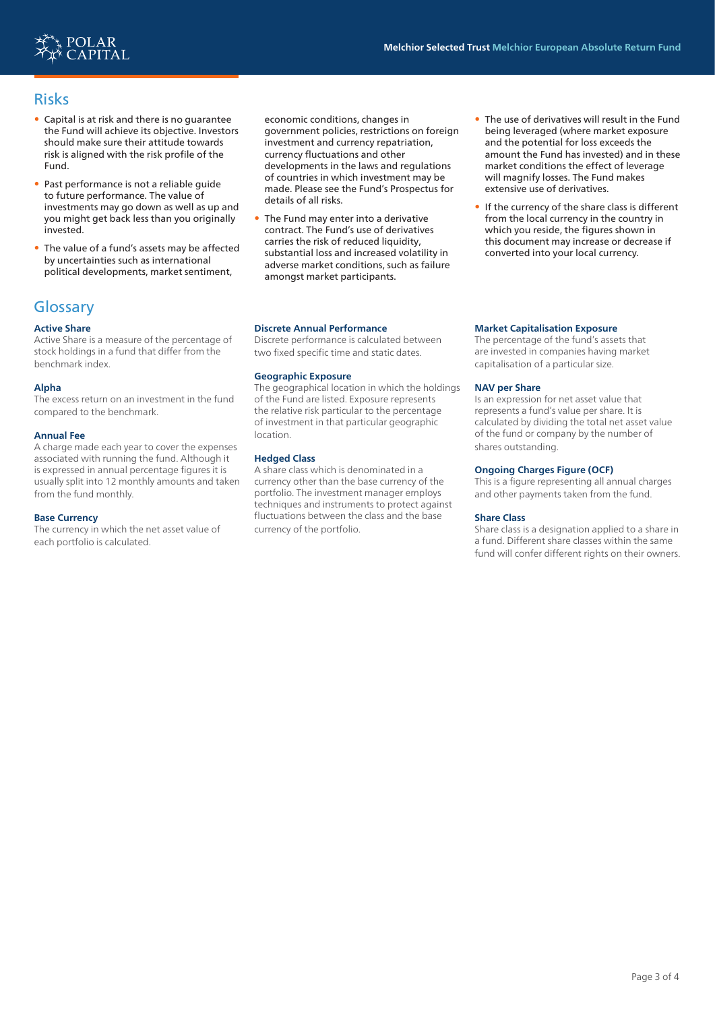

# Risks

- Capital is at risk and there is no guarantee the Fund will achieve its objective. Investors should make sure their attitude towards risk is aligned with the risk profile of the Fund.
- Past performance is not a reliable guide to future performance. The value of investments may go down as well as up and you might get back less than you originally invested.
- The value of a fund's assets may be affected by uncertainties such as international political developments, market sentiment,

# **Glossary**

### **Active Share**

Active Share is a measure of the percentage of stock holdings in a fund that differ from the benchmark index.

### **Alpha**

The excess return on an investment in the fund compared to the benchmark.

#### **Annual Fee**

A charge made each year to cover the expenses associated with running the fund. Although it is expressed in annual percentage figures it is usually split into 12 monthly amounts and taken from the fund monthly.

#### **Base Currency**

The currency in which the net asset value of each portfolio is calculated.

economic conditions, changes in government policies, restrictions on foreign investment and currency repatriation, currency fluctuations and other developments in the laws and regulations of countries in which investment may be made. Please see the Fund's Prospectus for details of all risks.

• The Fund may enter into a derivative contract. The Fund's use of derivatives carries the risk of reduced liquidity, substantial loss and increased volatility in adverse market conditions, such as failure amongst market participants.

#### **Discrete Annual Performance**

Discrete performance is calculated between two fixed specific time and static dates.

#### **Geographic Exposure**

The geographical location in which the holdings of the Fund are listed. Exposure represents the relative risk particular to the percentage of investment in that particular geographic location.

### **Hedged Class**

A share class which is denominated in a currency other than the base currency of the portfolio. The investment manager employs techniques and instruments to protect against fluctuations between the class and the base currency of the portfolio.

- The use of derivatives will result in the Fund being leveraged (where market exposure and the potential for loss exceeds the amount the Fund has invested) and in these market conditions the effect of leverage will magnify losses. The Fund makes extensive use of derivatives.
- If the currency of the share class is different from the local currency in the country in which you reside, the figures shown in this document may increase or decrease if converted into your local currency.

### **Market Capitalisation Exposure**

The percentage of the fund's assets that are invested in companies having market capitalisation of a particular size.

#### **NAV per Share**

Is an expression for net asset value that represents a fund's value per share. It is calculated by dividing the total net asset value of the fund or company by the number of shares outstanding.

### **Ongoing Charges Figure (OCF)**

This is a figure representing all annual charges and other payments taken from the fund.

#### **Share Class**

Share class is a designation applied to a share in a fund. Different share classes within the same fund will confer different rights on their owners.